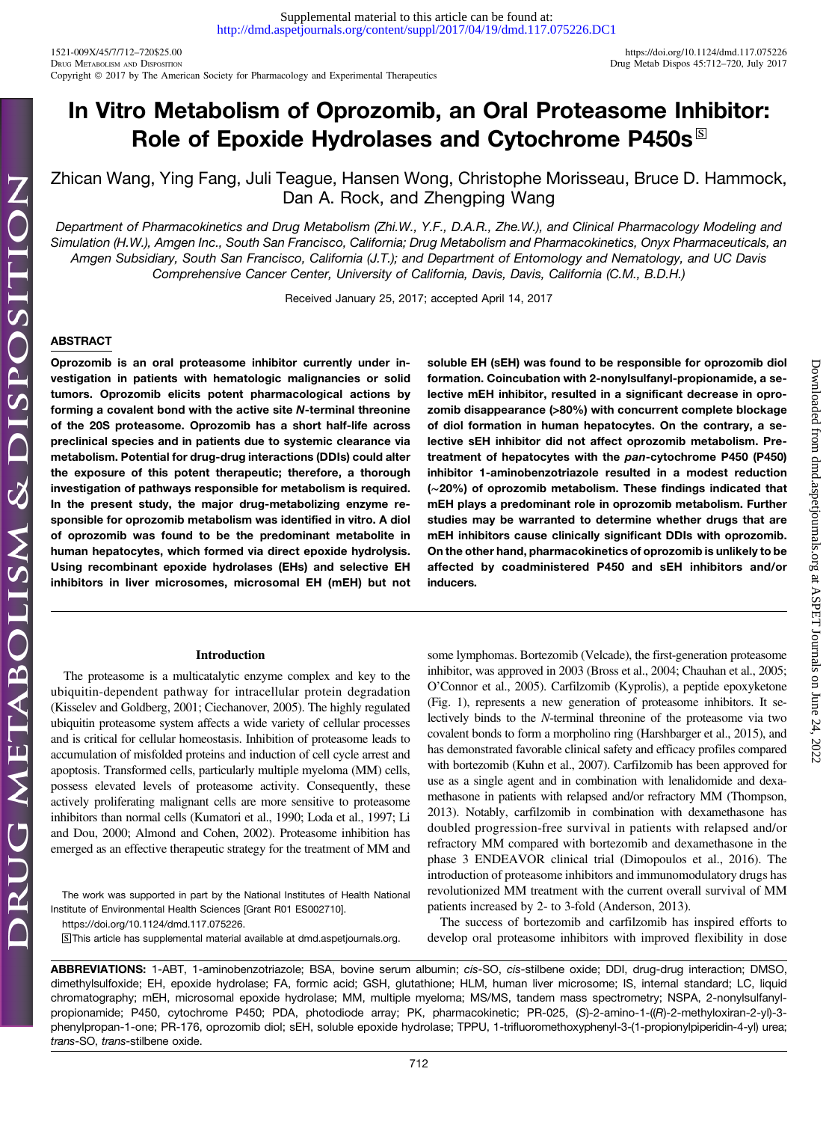1521-009X/45/7/712–720\$25.00 <https://doi.org/10.1124/dmd.117.075226> Copyright © 2017 by The American Society for Pharmacology and Experimental Therapeutics

Downloaded from [dmd.aspetjournals.org](http://dmd.aspetjournals.org/) at ASPET Journals on June 24, 2022

Downloaded from dmd.aspetjournals.org at ASPET Journals on June 24, 2022

# In Vitro Metabolism of Oprozomib, an Oral Proteasome Inhibitor: Role of Epoxide Hydrolases and Cytochrome P450s $^{\boxtimes}$

Zhican Wang, Ying Fang, Juli Teague, Hansen Wong, Christophe Morisseau, Bruce D. Hammock, Dan A. Rock, and Zhengping Wang

Department of Pharmacokinetics and Drug Metabolism (Zhi.W., Y.F., D.A.R., Zhe.W.), and Clinical Pharmacology Modeling and Simulation (H.W.), Amgen Inc., South San Francisco, California; Drug Metabolism and Pharmacokinetics, Onyx Pharmaceuticals, an Amgen Subsidiary, South San Francisco, California (J.T.); and Department of Entomology and Nematology, and UC Davis Comprehensive Cancer Center, University of California, Davis, Davis, California (C.M., B.D.H.)

Received January 25, 2017; accepted April 14, 2017

## **ABSTRACT**

Oprozomib is an oral proteasome inhibitor currently under investigation in patients with hematologic malignancies or solid tumors. Oprozomib elicits potent pharmacological actions by forming a covalent bond with the active site N-terminal threonine of the 20S proteasome. Oprozomib has a short half-life across preclinical species and in patients due to systemic clearance via metabolism. Potential for drug-drug interactions (DDIs) could alter the exposure of this potent therapeutic; therefore, a thorough investigation of pathways responsible for metabolism is required. In the present study, the major drug-metabolizing enzyme responsible for oprozomib metabolism was identified in vitro. A diol of oprozomib was found to be the predominant metabolite in human hepatocytes, which formed via direct epoxide hydrolysis. Using recombinant epoxide hydrolases (EHs) and selective EH inhibitors in liver microsomes, microsomal EH (mEH) but not

#### Introduction

The proteasome is a multicatalytic enzyme complex and key to the ubiquitin-dependent pathway for intracellular protein degradation (Kisselev and Goldberg, 2001; Ciechanover, 2005). The highly regulated ubiquitin proteasome system affects a wide variety of cellular processes and is critical for cellular homeostasis. Inhibition of proteasome leads to accumulation of misfolded proteins and induction of cell cycle arrest and apoptosis. Transformed cells, particularly multiple myeloma (MM) cells, possess elevated levels of proteasome activity. Consequently, these actively proliferating malignant cells are more sensitive to proteasome inhibitors than normal cells (Kumatori et al., 1990; Loda et al., 1997; Li and Dou, 2000; Almond and Cohen, 2002). Proteasome inhibition has emerged as an effective therapeutic strategy for the treatment of MM and

The work was supported in part by the National Institutes of Health National Institute of Environmental Health Sciences [Grant R01 ES002710].

S This article has supplemental material available at [dmd.aspetjournals.org.](http://dmd.aspetjournals.org)

soluble EH (sEH) was found to be responsible for oprozomib diol formation. Coincubation with 2-nonylsulfanyl-propionamide, a selective mEH inhibitor, resulted in a significant decrease in oprozomib disappearance (>80%) with concurrent complete blockage of diol formation in human hepatocytes. On the contrary, a selective sEH inhibitor did not affect oprozomib metabolism. Pretreatment of hepatocytes with the pan-cytochrome P450 (P450) inhibitor 1-aminobenzotriazole resulted in a modest reduction (∼20%) of oprozomib metabolism. These findings indicated that mEH plays a predominant role in oprozomib metabolism. Further studies may be warranted to determine whether drugs that are mEH inhibitors cause clinically significant DDIs with oprozomib. On the other hand, pharmacokinetics of oprozomib is unlikely to be affected by coadministered P450 and sEH inhibitors and/or inducers.

some lymphomas. Bortezomib (Velcade), the first-generation proteasome inhibitor, was approved in 2003 (Bross et al., 2004; Chauhan et al., 2005; O'Connor et al., 2005). Carfilzomib (Kyprolis), a peptide epoxyketone (Fig. 1), represents a new generation of proteasome inhibitors. It selectively binds to the N-terminal threonine of the proteasome via two covalent bonds to form a morpholino ring (Harshbarger et al., 2015), and has demonstrated favorable clinical safety and efficacy profiles compared with bortezomib (Kuhn et al., 2007). Carfilzomib has been approved for use as a single agent and in combination with lenalidomide and dexamethasone in patients with relapsed and/or refractory MM (Thompson, 2013). Notably, carfilzomib in combination with dexamethasone has doubled progression-free survival in patients with relapsed and/or refractory MM compared with bortezomib and dexamethasone in the phase 3 ENDEAVOR clinical trial (Dimopoulos et al., 2016). The introduction of proteasome inhibitors and immunomodulatory drugs has revolutionized MM treatment with the current overall survival of MM patients increased by 2- to 3-fold (Anderson, 2013).

The success of bortezomib and carfilzomib has inspired efforts to develop oral proteasome inhibitors with improved flexibility in dose

ABBREVIATIONS: 1-ABT, 1-aminobenzotriazole; BSA, bovine serum albumin; cis-SO, cis-stilbene oxide; DDI, drug-drug interaction; DMSO, dimethylsulfoxide; EH, epoxide hydrolase; FA, formic acid; GSH, glutathione; HLM, human liver microsome; IS, internal standard; LC, liquid chromatography; mEH, microsomal epoxide hydrolase; MM, multiple myeloma; MS/MS, tandem mass spectrometry; NSPA, 2-nonylsulfanylpropionamide; P450, cytochrome P450; PDA, photodiode array; PK, pharmacokinetic; PR-025, (S)-2-amino-1-((R)-2-methyloxiran-2-yl)-3phenylpropan-1-one; PR-176, oprozomib diol; sEH, soluble epoxide hydrolase; TPPU, 1-trifluoromethoxyphenyl-3-(1-propionylpiperidin-4-yl) urea; trans-SO, trans-stilbene oxide.

<https://doi.org/10.1124/dmd.117.075226>.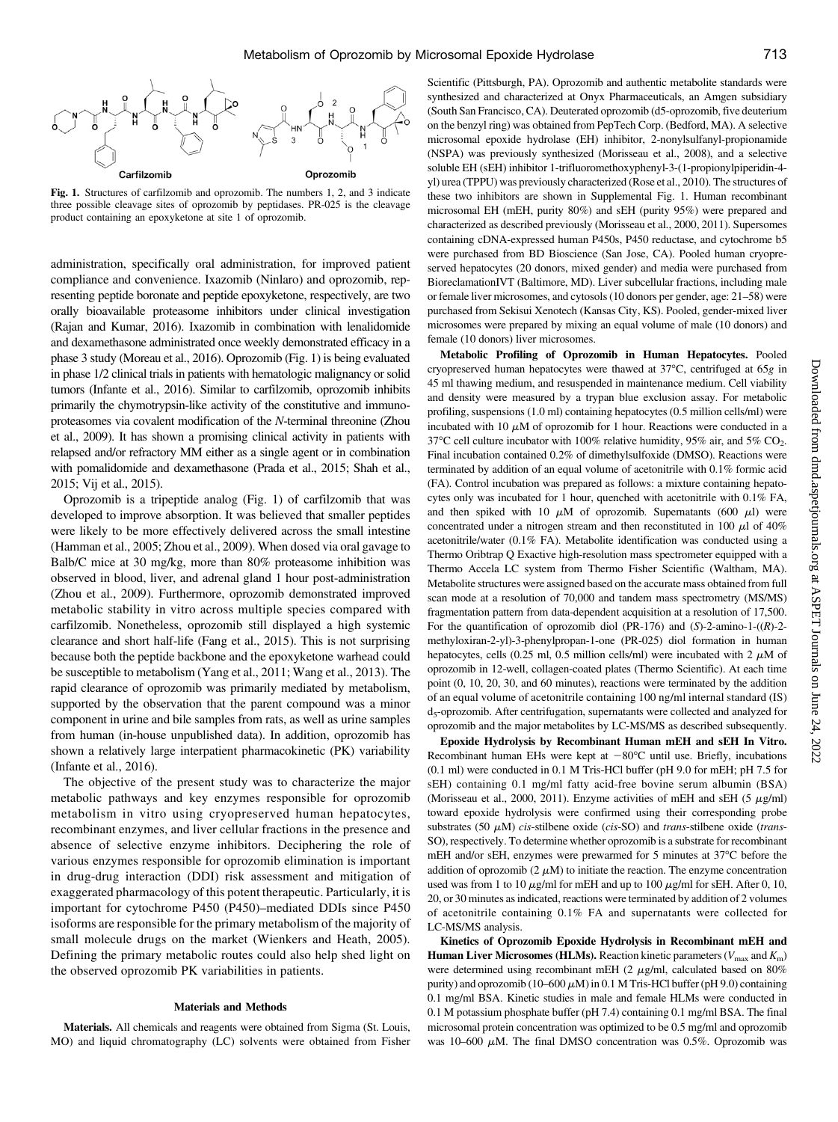

Fig. 1. Structures of carfilzomib and oprozomib. The numbers 1, 2, and 3 indicate three possible cleavage sites of oprozomib by peptidases. PR-025 is the cleavage product containing an epoxyketone at site 1 of oprozomib.

administration, specifically oral administration, for improved patient compliance and convenience. Ixazomib (Ninlaro) and oprozomib, representing peptide boronate and peptide epoxyketone, respectively, are two orally bioavailable proteasome inhibitors under clinical investigation (Rajan and Kumar, 2016). Ixazomib in combination with lenalidomide and dexamethasone administrated once weekly demonstrated efficacy in a phase 3 study (Moreau et al., 2016). Oprozomib (Fig. 1) is being evaluated in phase 1/2 clinical trials in patients with hematologic malignancy or solid tumors (Infante et al., 2016). Similar to carfilzomib, oprozomib inhibits primarily the chymotrypsin-like activity of the constitutive and immunoproteasomes via covalent modification of the N-terminal threonine (Zhou et al., 2009). It has shown a promising clinical activity in patients with relapsed and/or refractory MM either as a single agent or in combination with pomalidomide and dexamethasone (Prada et al., 2015; Shah et al., 2015; Vij et al., 2015).

Oprozomib is a tripeptide analog (Fig. 1) of carfilzomib that was developed to improve absorption. It was believed that smaller peptides were likely to be more effectively delivered across the small intestine (Hamman et al., 2005; Zhou et al., 2009). When dosed via oral gavage to Balb/C mice at 30 mg/kg, more than 80% proteasome inhibition was observed in blood, liver, and adrenal gland 1 hour post-administration (Zhou et al., 2009). Furthermore, oprozomib demonstrated improved metabolic stability in vitro across multiple species compared with carfilzomib. Nonetheless, oprozomib still displayed a high systemic clearance and short half-life (Fang et al., 2015). This is not surprising because both the peptide backbone and the epoxyketone warhead could be susceptible to metabolism (Yang et al., 2011; Wang et al., 2013). The rapid clearance of oprozomib was primarily mediated by metabolism, supported by the observation that the parent compound was a minor component in urine and bile samples from rats, as well as urine samples from human (in-house unpublished data). In addition, oprozomib has shown a relatively large interpatient pharmacokinetic (PK) variability (Infante et al., 2016).

The objective of the present study was to characterize the major metabolic pathways and key enzymes responsible for oprozomib metabolism in vitro using cryopreserved human hepatocytes, recombinant enzymes, and liver cellular fractions in the presence and absence of selective enzyme inhibitors. Deciphering the role of various enzymes responsible for oprozomib elimination is important in drug-drug interaction (DDI) risk assessment and mitigation of exaggerated pharmacology of this potent therapeutic. Particularly, it is important for cytochrome P450 (P450)–mediated DDIs since P450 isoforms are responsible for the primary metabolism of the majority of small molecule drugs on the market (Wienkers and Heath, 2005). Defining the primary metabolic routes could also help shed light on the observed oprozomib PK variabilities in patients.

## Materials and Methods

Materials. All chemicals and reagents were obtained from Sigma (St. Louis, MO) and liquid chromatography (LC) solvents were obtained from Fisher Scientific (Pittsburgh, PA). Oprozomib and authentic metabolite standards were synthesized and characterized at Onyx Pharmaceuticals, an Amgen subsidiary (South San Francisco, CA). Deuterated oprozomib (d5-oprozomib, five deuterium on the benzyl ring) was obtained from PepTech Corp. (Bedford, MA). A selective microsomal epoxide hydrolase (EH) inhibitor, 2-nonylsulfanyl-propionamide (NSPA) was previously synthesized (Morisseau et al., 2008), and a selective soluble EH (sEH) inhibitor 1-trifluoromethoxyphenyl-3-(1-propionylpiperidin-4 yl) urea (TPPU) was previously characterized (Rose et al., 2010). The structures of these two inhibitors are shown in [Supplemental Fig. 1.](http://dmd.aspetjournals.org/lookup/suppl/doi:10.1124/dmd.117.075226/-/DC1) Human recombinant microsomal EH (mEH, purity 80%) and sEH (purity 95%) were prepared and characterized as described previously (Morisseau et al., 2000, 2011). Supersomes containing cDNA-expressed human P450s, P450 reductase, and cytochrome b5 were purchased from BD Bioscience (San Jose, CA). Pooled human cryopreserved hepatocytes (20 donors, mixed gender) and media were purchased from BioreclamationIVT (Baltimore, MD). Liver subcellular fractions, including male or female liver microsomes, and cytosols (10 donors per gender, age: 21–58) were purchased from Sekisui Xenotech (Kansas City, KS). Pooled, gender-mixed liver microsomes were prepared by mixing an equal volume of male (10 donors) and female (10 donors) liver microsomes.

Metabolic Profiling of Oprozomib in Human Hepatocytes. Pooled cryopreserved human hepatocytes were thawed at  $37^{\circ}$ C, centrifuged at  $65g$  in 45 ml thawing medium, and resuspended in maintenance medium. Cell viability and density were measured by a trypan blue exclusion assay. For metabolic profiling, suspensions (1.0 ml) containing hepatocytes (0.5 million cells/ml) were incubated with 10  $\mu$ M of oprozomib for 1 hour. Reactions were conducted in a 37 °C cell culture incubator with 100% relative humidity, 95% air, and 5%  $CO_2$ . Final incubation contained 0.2% of dimethylsulfoxide (DMSO). Reactions were terminated by addition of an equal volume of acetonitrile with 0.1% formic acid (FA). Control incubation was prepared as follows: a mixture containing hepatocytes only was incubated for 1 hour, quenched with acetonitrile with 0.1% FA, and then spiked with 10  $\mu$ M of oprozomib. Supernatants (600  $\mu$ l) were concentrated under a nitrogen stream and then reconstituted in 100  $\mu$ l of 40% acetonitrile/water (0.1% FA). Metabolite identification was conducted using a Thermo Oribtrap Q Exactive high-resolution mass spectrometer equipped with a Thermo Accela LC system from Thermo Fisher Scientific (Waltham, MA). Metabolite structures were assigned based on the accurate mass obtained from full scan mode at a resolution of 70,000 and tandem mass spectrometry (MS/MS) fragmentation pattern from data-dependent acquisition at a resolution of 17,500. For the quantification of oprozomib diol (PR-176) and  $(S)$ -2-amino-1- $((R)$ -2methyloxiran-2-yl)-3-phenylpropan-1-one (PR-025) diol formation in human hepatocytes, cells (0.25 ml, 0.5 million cells/ml) were incubated with 2  $\mu$ M of oprozomib in 12-well, collagen-coated plates (Thermo Scientific). At each time point (0, 10, 20, 30, and 60 minutes), reactions were terminated by the addition of an equal volume of acetonitrile containing 100 ng/ml internal standard (IS) d5-oprozomib. After centrifugation, supernatants were collected and analyzed for oprozomib and the major metabolites by LC-MS/MS as described subsequently.

Epoxide Hydrolysis by Recombinant Human mEH and sEH In Vitro. Recombinant human EHs were kept at  $-80^{\circ}$ C until use. Briefly, incubations (0.1 ml) were conducted in 0.1 M Tris-HCl buffer (pH 9.0 for mEH; pH 7.5 for sEH) containing 0.1 mg/ml fatty acid-free bovine serum albumin (BSA) (Morisseau et al., 2000, 2011). Enzyme activities of mEH and sEH (5  $\mu$ g/ml) toward epoxide hydrolysis were confirmed using their corresponding probe substrates (50  $\mu$ M) cis-stilbene oxide (cis-SO) and trans-stilbene oxide (trans-SO), respectively. To determine whether oprozomib is a substrate for recombinant mEH and/or sEH, enzymes were prewarmed for 5 minutes at 37°C before the addition of oprozomib  $(2 \mu M)$  to initiate the reaction. The enzyme concentration used was from 1 to 10  $\mu$ g/ml for mEH and up to 100  $\mu$ g/ml for sEH. After 0, 10, 20, or 30 minutes as indicated, reactions were terminated by addition of 2 volumes of acetonitrile containing 0.1% FA and supernatants were collected for LC-MS/MS analysis.

Kinetics of Oprozomib Epoxide Hydrolysis in Recombinant mEH and **Human Liver Microsomes (HLMs).** Reaction kinetic parameters ( $V_{\text{max}}$  and  $K_{\text{m}}$ ) were determined using recombinant mEH (2  $\mu$ g/ml, calculated based on 80% purity) and oprozomib (10–600  $\mu$ M) in 0.1 M Tris-HCl buffer (pH 9.0) containing 0.1 mg/ml BSA. Kinetic studies in male and female HLMs were conducted in 0.1 M potassium phosphate buffer (pH 7.4) containing 0.1 mg/ml BSA. The final microsomal protein concentration was optimized to be 0.5 mg/ml and oprozomib was 10–600  $\mu$ M. The final DMSO concentration was 0.5%. Oprozomib was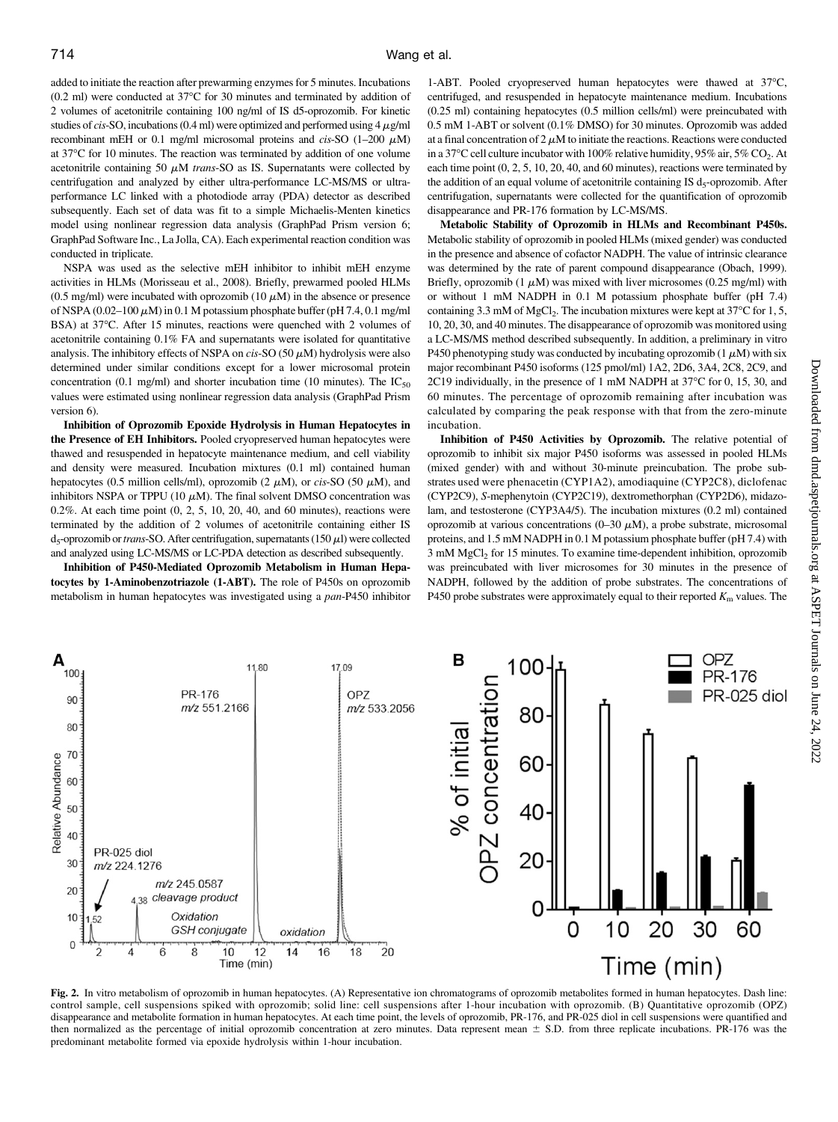added to initiate the reaction after prewarming enzymes for 5 minutes. Incubations  $(0.2 \text{ ml})$  were conducted at 37 $\textdegree$ C for 30 minutes and terminated by addition of 2 volumes of acetonitrile containing 100 ng/ml of IS d5-oprozomib. For kinetic studies of cis-SO, incubations (0.4 ml) were optimized and performed using  $4 \mu g/ml$ recombinant mEH or 0.1 mg/ml microsomal proteins and cis-SO  $(1-200 \mu M)$ at 37°C for 10 minutes. The reaction was terminated by addition of one volume acetonitrile containing 50  $\mu$ M *trans*-SO as IS. Supernatants were collected by centrifugation and analyzed by either ultra-performance LC-MS/MS or ultraperformance LC linked with a photodiode array (PDA) detector as described subsequently. Each set of data was fit to a simple Michaelis-Menten kinetics model using nonlinear regression data analysis (GraphPad Prism version 6; GraphPad Software Inc., La Jolla, CA). Each experimental reaction condition was conducted in triplicate.

NSPA was used as the selective mEH inhibitor to inhibit mEH enzyme activities in HLMs (Morisseau et al., 2008). Briefly, prewarmed pooled HLMs (0.5 mg/ml) were incubated with oprozomib (10  $\mu$ M) in the absence or presence of NSPA (0.02–100  $\mu$ M) in 0.1 M potassium phosphate buffer (pH 7.4, 0.1 mg/ml BSA) at 37°C. After 15 minutes, reactions were quenched with 2 volumes of acetonitrile containing 0.1% FA and supernatants were isolated for quantitative analysis. The inhibitory effects of NSPA on cis-SO (50  $\mu$ M) hydrolysis were also determined under similar conditions except for a lower microsomal protein concentration (0.1 mg/ml) and shorter incubation time (10 minutes). The  $IC_{50}$ values were estimated using nonlinear regression data analysis (GraphPad Prism version 6).

Inhibition of Oprozomib Epoxide Hydrolysis in Human Hepatocytes in the Presence of EH Inhibitors. Pooled cryopreserved human hepatocytes were thawed and resuspended in hepatocyte maintenance medium, and cell viability and density were measured. Incubation mixtures (0.1 ml) contained human hepatocytes (0.5 million cells/ml), oprozomib (2  $\mu$ M), or *cis-SO* (50  $\mu$ M), and inhibitors NSPA or TPPU (10  $\mu$ M). The final solvent DMSO concentration was 0.2%. At each time point (0, 2, 5, 10, 20, 40, and 60 minutes), reactions were terminated by the addition of 2 volumes of acetonitrile containing either IS d<sub>5</sub>-oprozomib or trans-SO. After centrifugation, supernatants (150 $\mu$ l) were collected and analyzed using LC-MS/MS or LC-PDA detection as described subsequently.

Inhibition of P450-Mediated Oprozomib Metabolism in Human Hepatocytes by 1-Aminobenzotriazole (1-ABT). The role of P450s on oprozomib metabolism in human hepatocytes was investigated using a pan-P450 inhibitor

1-ABT. Pooled cryopreserved human hepatocytes were thawed at 37°C, centrifuged, and resuspended in hepatocyte maintenance medium. Incubations (0.25 ml) containing hepatocytes (0.5 million cells/ml) were preincubated with 0.5 mM 1-ABT or solvent (0.1% DMSO) for 30 minutes. Oprozomib was added at a final concentration of  $2 \mu M$  to initiate the reactions. Reactions were conducted in a 37°C cell culture incubator with 100% relative humidity, 95% air, 5% CO<sub>2</sub>. At each time point (0, 2, 5, 10, 20, 40, and 60 minutes), reactions were terminated by the addition of an equal volume of acetonitrile containing IS  $d_5$ -oprozomib. After centrifugation, supernatants were collected for the quantification of oprozomib disappearance and PR-176 formation by LC-MS/MS.

Metabolic Stability of Oprozomib in HLMs and Recombinant P450s. Metabolic stability of oprozomib in pooled HLMs (mixed gender) was conducted in the presence and absence of cofactor NADPH. The value of intrinsic clearance was determined by the rate of parent compound disappearance (Obach, 1999). Briefly, oprozomib (1  $\mu$ M) was mixed with liver microsomes (0.25 mg/ml) with or without 1 mM NADPH in 0.1 M potassium phosphate buffer (pH 7.4) containing 3.3 mM of MgCl<sub>2</sub>. The incubation mixtures were kept at 37 $\rm{^{\circ}C}$  for 1, 5, 10, 20, 30, and 40 minutes. The disappearance of oprozomib was monitored using a LC-MS/MS method described subsequently. In addition, a preliminary in vitro P450 phenotyping study was conducted by incubating oprozomib  $(1 \mu M)$  with six major recombinant P450 isoforms (125 pmol/ml) 1A2, 2D6, 3A4, 2C8, 2C9, and 2C19 individually, in the presence of 1 mM NADPH at 37°C for 0, 15, 30, and 60 minutes. The percentage of oprozomib remaining after incubation was calculated by comparing the peak response with that from the zero-minute incubation.

Inhibition of P450 Activities by Oprozomib. The relative potential of oprozomib to inhibit six major P450 isoforms was assessed in pooled HLMs (mixed gender) with and without 30-minute preincubation. The probe substrates used were phenacetin (CYP1A2), amodiaquine (CYP2C8), diclofenac (CYP2C9), S-mephenytoin (CYP2C19), dextromethorphan (CYP2D6), midazolam, and testosterone (CYP3A4/5). The incubation mixtures (0.2 ml) contained oprozomib at various concentrations (0–30  $\mu$ M), a probe substrate, microsomal proteins, and 1.5 mM NADPH in 0.1 M potassium phosphate buffer (pH 7.4) with 3 mM MgCl2 for 15 minutes. To examine time-dependent inhibition, oprozomib was preincubated with liver microsomes for 30 minutes in the presence of NADPH, followed by the addition of probe substrates. The concentrations of P450 probe substrates were approximately equal to their reported  $K<sub>m</sub>$  values. The



Fig. 2. In vitro metabolism of oprozomib in human hepatocytes. (A) Representative ion chromatograms of oprozomib metabolites formed in human hepatocytes. Dash line: control sample, cell suspensions spiked with oprozomib; solid line: cell suspensions after 1-hour incubation with oprozomib. (B) Quantitative oprozomib (OPZ) disappearance and metabolite formation in human hepatocytes. At each time point, the levels of oprozomib, PR-176, and PR-025 diol in cell suspensions were quantified and then normalized as the percentage of initial oprozomib concentration at zero minutes. Data represent mean  $\pm$  S.D. from three replicate incubations. PR-176 was the predominant metabolite formed via epoxide hydrolysis within 1-hour incubation.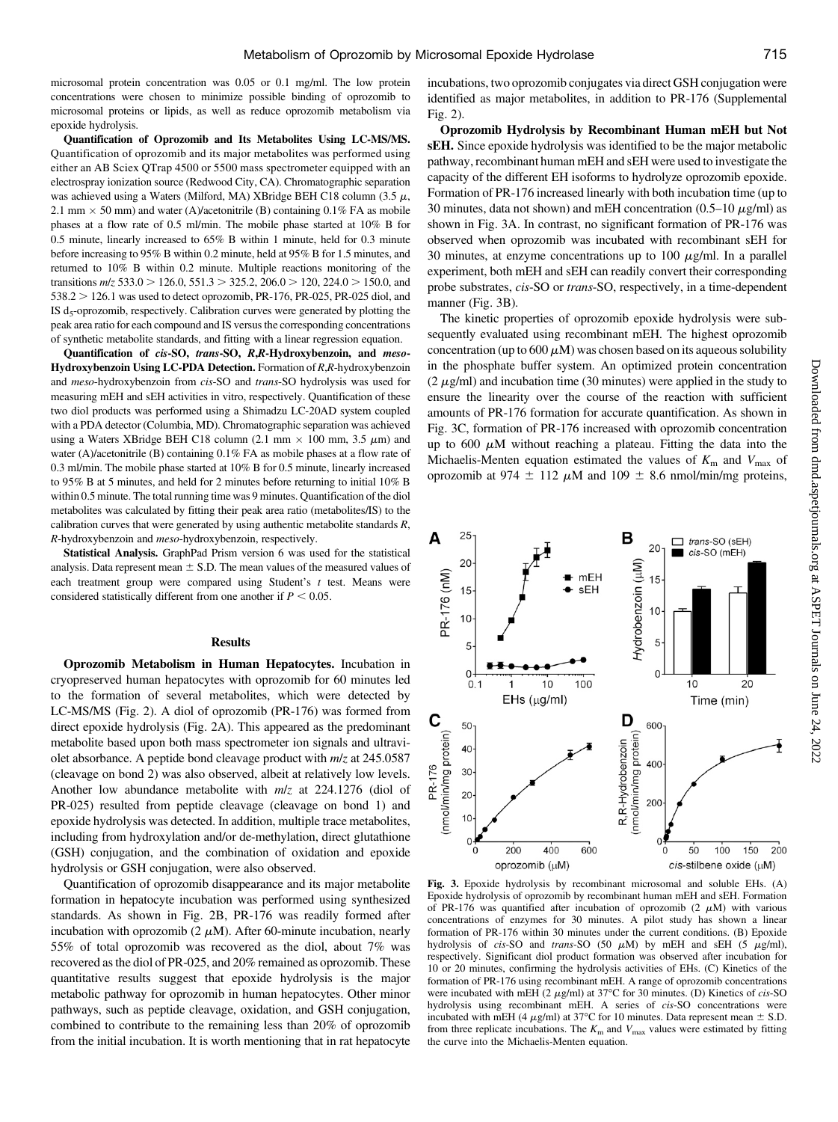microsomal protein concentration was 0.05 or 0.1 mg/ml. The low protein concentrations were chosen to minimize possible binding of oprozomib to microsomal proteins or lipids, as well as reduce oprozomib metabolism via epoxide hydrolysis.

Quantification of Oprozomib and Its Metabolites Using LC-MS/MS. Quantification of oprozomib and its major metabolites was performed using either an AB Sciex QTrap 4500 or 5500 mass spectrometer equipped with an electrospray ionization source (Redwood City, CA). Chromatographic separation was achieved using a Waters (Milford, MA) XBridge BEH C18 column (3.5  $\mu$ , 2.1 mm  $\times$  50 mm) and water (A)/acetonitrile (B) containing 0.1% FA as mobile phases at a flow rate of 0.5 ml/min. The mobile phase started at 10% B for 0.5 minute, linearly increased to 65% B within 1 minute, held for 0.3 minute before increasing to 95% B within 0.2 minute, held at 95% B for 1.5 minutes, and returned to 10% B within 0.2 minute. Multiple reactions monitoring of the transitions  $m/z$  533.0 > 126.0, 551.3 > 325.2, 206.0 > 120, 224.0 > 150.0, and  $538.2 > 126.1$  was used to detect oprozomib, PR-176, PR-025, PR-025 diol, and IS  $d_5$ -oprozomib, respectively. Calibration curves were generated by plotting the peak area ratio for each compound and IS versus the corresponding concentrations of synthetic metabolite standards, and fitting with a linear regression equation.

Quantification of cis-SO, trans-SO, R,R-Hydroxybenzoin, and meso-Hydroxybenzoin Using LC-PDA Detection. Formation of R,R-hydroxybenzoin and meso-hydroxybenzoin from cis-SO and trans-SO hydrolysis was used for measuring mEH and sEH activities in vitro, respectively. Quantification of these two diol products was performed using a Shimadzu LC-20AD system coupled with a PDA detector (Columbia, MD). Chromatographic separation was achieved using a Waters XBridge BEH C18 column (2.1 mm  $\times$  100 mm, 3.5  $\mu$ m) and water (A)/acetonitrile (B) containing  $0.1\%$  FA as mobile phases at a flow rate of 0.3 ml/min. The mobile phase started at 10% B for 0.5 minute, linearly increased to 95% B at 5 minutes, and held for 2 minutes before returning to initial 10% B within 0.5 minute. The total running time was 9 minutes. Quantification of the diol metabolites was calculated by fitting their peak area ratio (metabolites/IS) to the calibration curves that were generated by using authentic metabolite standards  $R$ , R-hydroxybenzoin and meso-hydroxybenzoin, respectively.

Statistical Analysis. GraphPad Prism version 6 was used for the statistical analysis. Data represent mean  $\pm$  S.D. The mean values of the measured values of each treatment group were compared using Student's  $t$  test. Means were considered statistically different from one another if  $P < 0.05$ .

## **Results**

Oprozomib Metabolism in Human Hepatocytes. Incubation in cryopreserved human hepatocytes with oprozomib for 60 minutes led to the formation of several metabolites, which were detected by LC-MS/MS (Fig. 2). A diol of oprozomib (PR-176) was formed from direct epoxide hydrolysis (Fig. 2A). This appeared as the predominant metabolite based upon both mass spectrometer ion signals and ultraviolet absorbance. A peptide bond cleavage product with m/z at 245.0587 (cleavage on bond 2) was also observed, albeit at relatively low levels. Another low abundance metabolite with  $m/z$  at 224.1276 (diol of PR-025) resulted from peptide cleavage (cleavage on bond 1) and epoxide hydrolysis was detected. In addition, multiple trace metabolites, including from hydroxylation and/or de-methylation, direct glutathione (GSH) conjugation, and the combination of oxidation and epoxide hydrolysis or GSH conjugation, were also observed.

Quantification of oprozomib disappearance and its major metabolite formation in hepatocyte incubation was performed using synthesized standards. As shown in Fig. 2B, PR-176 was readily formed after incubation with oprozomib (2  $\mu$ M). After 60-minute incubation, nearly 55% of total oprozomib was recovered as the diol, about 7% was recovered as the diol of PR-025, and 20% remained as oprozomib. These quantitative results suggest that epoxide hydrolysis is the major metabolic pathway for oprozomib in human hepatocytes. Other minor pathways, such as peptide cleavage, oxidation, and GSH conjugation, combined to contribute to the remaining less than 20% of oprozomib from the initial incubation. It is worth mentioning that in rat hepatocyte

incubations, two oprozomib conjugates via direct GSH conjugation were identified as major metabolites, in addition to PR-176 [\(Supplemental](http://dmd.aspetjournals.org/lookup/suppl/doi:10.1124/dmd.117.075226/-/DC1) [Fig. 2](http://dmd.aspetjournals.org/lookup/suppl/doi:10.1124/dmd.117.075226/-/DC1)).

Oprozomib Hydrolysis by Recombinant Human mEH but Not sEH. Since epoxide hydrolysis was identified to be the major metabolic pathway, recombinant human mEH and sEH were used to investigate the capacity of the different EH isoforms to hydrolyze oprozomib epoxide. Formation of PR-176 increased linearly with both incubation time (up to 30 minutes, data not shown) and mEH concentration (0.5–10  $\mu$ g/ml) as shown in Fig. 3A. In contrast, no significant formation of PR-176 was observed when oprozomib was incubated with recombinant sEH for 30 minutes, at enzyme concentrations up to 100  $\mu$ g/ml. In a parallel experiment, both mEH and sEH can readily convert their corresponding probe substrates, cis-SO or trans-SO, respectively, in a time-dependent manner (Fig. 3B).

The kinetic properties of oprozomib epoxide hydrolysis were subsequently evaluated using recombinant mEH. The highest oprozomib concentration (up to 600  $\mu$ M) was chosen based on its aqueous solubility in the phosphate buffer system. An optimized protein concentration  $(2 \mu g/ml)$  and incubation time (30 minutes) were applied in the study to ensure the linearity over the course of the reaction with sufficient amounts of PR-176 formation for accurate quantification. As shown in Fig. 3C, formation of PR-176 increased with oprozomib concentration up to 600  $\mu$ M without reaching a plateau. Fitting the data into the Michaelis-Menten equation estimated the values of  $K<sub>m</sub>$  and  $V<sub>max</sub>$  of oprozomib at 974  $\pm$  112  $\mu$ M and 109  $\pm$  8.6 nmol/min/mg proteins,



Fig. 3. Epoxide hydrolysis by recombinant microsomal and soluble EHs. (A) Epoxide hydrolysis of oprozomib by recombinant human mEH and sEH. Formation of PR-176 was quantified after incubation of oprozomib (2  $\mu$ M) with various concentrations of enzymes for 30 minutes. A pilot study has shown a linear formation of PR-176 within 30 minutes under the current conditions. (B) Epoxide hydrolysis of cis-SO and trans-SO (50  $\mu$ M) by mEH and sEH (5  $\mu$ g/ml), respectively. Significant diol product formation was observed after incubation for 10 or 20 minutes, confirming the hydrolysis activities of EHs. (C) Kinetics of the formation of PR-176 using recombinant mEH. A range of oprozomib concentrations were incubated with mEH (2  $\mu$ g/ml) at 37°C for 30 minutes. (D) Kinetics of *cis*-SO hydrolysis using recombinant mEH. A series of cis-SO concentrations were incubated with mEH (4  $\mu$ g/ml) at 37°C for 10 minutes. Data represent mean  $\pm$  S.D. from three replicate incubations. The  $K<sub>m</sub>$  and  $V<sub>max</sub>$  values were estimated by fitting the curve into the Michaelis-Menten equation.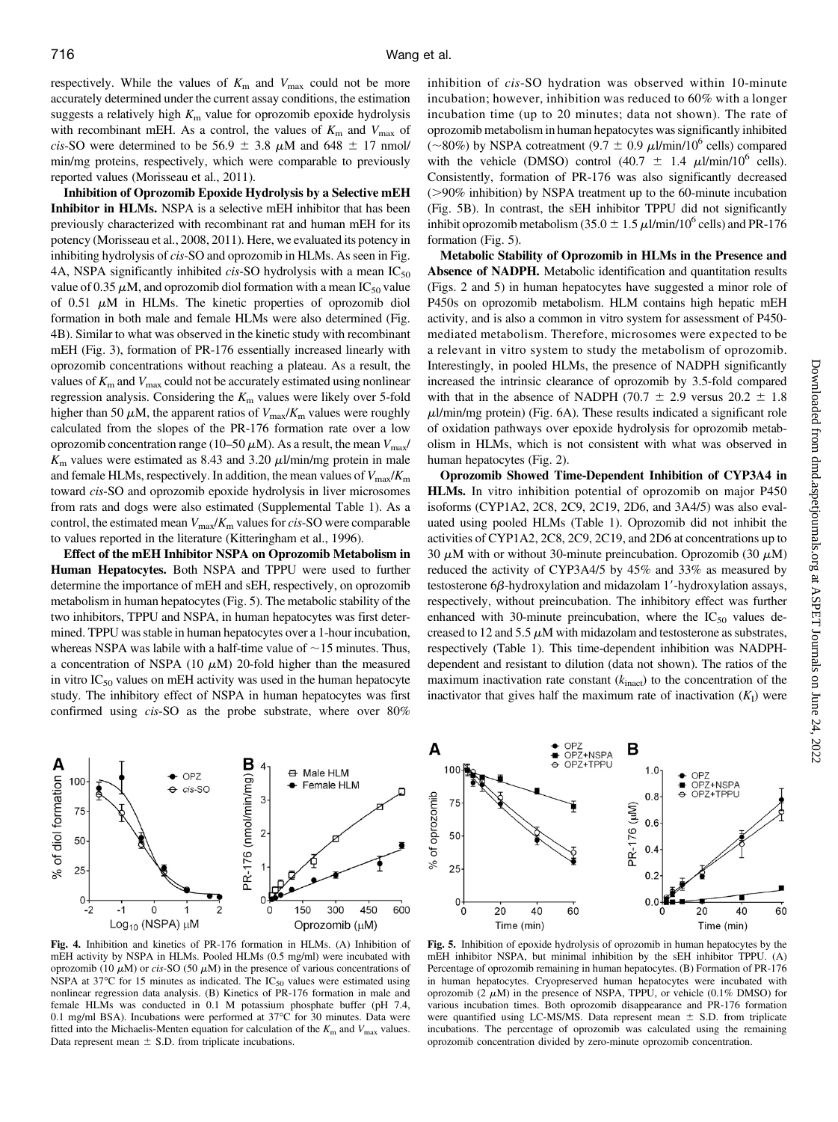A

 $10<sub>0</sub>$ 

respectively. While the values of  $K<sub>m</sub>$  and  $V<sub>max</sub>$  could not be more accurately determined under the current assay conditions, the estimation suggests a relatively high  $K<sub>m</sub>$  value for oprozomib epoxide hydrolysis with recombinant mEH. As a control, the values of  $K<sub>m</sub>$  and  $V<sub>max</sub>$  of cis-SO were determined to be 56.9  $\pm$  3.8  $\mu$ M and 648  $\pm$  17 nmol/ min/mg proteins, respectively, which were comparable to previously reported values (Morisseau et al., 2011).

Inhibition of Oprozomib Epoxide Hydrolysis by a Selective mEH Inhibitor in HLMs. NSPA is a selective mEH inhibitor that has been previously characterized with recombinant rat and human mEH for its potency (Morisseau et al., 2008, 2011). Here, we evaluated its potency in inhibiting hydrolysis of cis-SO and oprozomib in HLMs. As seen in Fig. 4A, NSPA significantly inhibited cis-SO hydrolysis with a mean  $IC_{50}$ value of 0.35  $\mu$ M, and oprozomib diol formation with a mean IC<sub>50</sub> value of 0.51  $\mu$ M in HLMs. The kinetic properties of oprozomib diol formation in both male and female HLMs were also determined (Fig. 4B). Similar to what was observed in the kinetic study with recombinant mEH (Fig. 3), formation of PR-176 essentially increased linearly with oprozomib concentrations without reaching a plateau. As a result, the values of  $K<sub>m</sub>$  and  $V<sub>max</sub>$  could not be accurately estimated using nonlinear regression analysis. Considering the  $K<sub>m</sub>$  values were likely over 5-fold higher than 50  $\mu$ M, the apparent ratios of  $V_{\text{max}}/K_{\text{m}}$  values were roughly calculated from the slopes of the PR-176 formation rate over a low oprozomib concentration range (10–50  $\mu$ M). As a result, the mean  $V_{\text{max}}/$  $K<sub>m</sub>$  values were estimated as 8.43 and 3.20  $\mu$ l/min/mg protein in male and female HLMs, respectively. In addition, the mean values of  $V_{\text{max}}/K_{\text{m}}$ toward cis-SO and oprozomib epoxide hydrolysis in liver microsomes from rats and dogs were also estimated [\(Supplemental Table 1\)](http://dmd.aspetjournals.org/lookup/suppl/doi:10.1124/dmd.117.075226/-/DC1). As a control, the estimated mean  $V_{\text{max}}/K_{\text{m}}$  values for cis-SO were comparable to values reported in the literature (Kitteringham et al., 1996).

Effect of the mEH Inhibitor NSPA on Oprozomib Metabolism in Human Hepatocytes. Both NSPA and TPPU were used to further determine the importance of mEH and sEH, respectively, on oprozomib metabolism in human hepatocytes (Fig. 5). The metabolic stability of the two inhibitors, TPPU and NSPA, in human hepatocytes was first determined. TPPU was stable in human hepatocytes over a 1-hour incubation, whereas NSPA was labile with a half-time value of  $\sim$  15 minutes. Thus, a concentration of NSPA (10  $\mu$ M) 20-fold higher than the measured in vitro  $IC_{50}$  values on mEH activity was used in the human hepatocyte study. The inhibitory effect of NSPA in human hepatocytes was first confirmed using cis-SO as the probe substrate, where over 80%



Fig. 4. Inhibition and kinetics of PR-176 formation in HLMs. (A) Inhibition of mEH activity by NSPA in HLMs. Pooled HLMs (0.5 mg/ml) were incubated with oprozomib (10  $\mu$ M) or cis-SO (50  $\mu$ M) in the presence of various concentrations of NSPA at 37 $\rm{^{\circ}C}$  for 15 minutes as indicated. The IC<sub>50</sub> values were estimated using nonlinear regression data analysis. (B) Kinetics of PR-176 formation in male and female HLMs was conducted in 0.1 M potassium phosphate buffer (pH 7.4, 0.1 mg/ml BSA). Incubations were performed at 37°C for 30 minutes. Data were fitted into the Michaelis-Menten equation for calculation of the  $K<sub>m</sub>$  and  $V<sub>max</sub>$  values. Data represent mean  $\pm$  S.D. from triplicate incubations.

inhibition of cis-SO hydration was observed within 10-minute incubation; however, inhibition was reduced to 60% with a longer incubation time (up to 20 minutes; data not shown). The rate of oprozomib metabolism in human hepatocytes was significantly inhibited  $(\sim 80\%)$  by NSPA cotreatment (9.7  $\pm$  0.9  $\mu$ l/min/10<sup>6</sup> cells) compared with the vehicle (DMSO) control (40.7  $\pm$  1.4  $\mu$ l/min/10<sup>6</sup> cells). Consistently, formation of PR-176 was also significantly decreased  $(>=)90\%$  inhibition) by NSPA treatment up to the 60-minute incubation (Fig. 5B). In contrast, the sEH inhibitor TPPU did not significantly inhibit oprozomib metabolism (35.0  $\pm$  1.5  $\mu$ l/min/10<sup>6</sup> cells) and PR-176 formation (Fig. 5).

Metabolic Stability of Oprozomib in HLMs in the Presence and Absence of NADPH. Metabolic identification and quantitation results (Figs. 2 and 5) in human hepatocytes have suggested a minor role of P450s on oprozomib metabolism. HLM contains high hepatic mEH activity, and is also a common in vitro system for assessment of P450 mediated metabolism. Therefore, microsomes were expected to be a relevant in vitro system to study the metabolism of oprozomib. Interestingly, in pooled HLMs, the presence of NADPH significantly increased the intrinsic clearance of oprozomib by 3.5-fold compared with that in the absence of NADPH (70.7  $\pm$  2.9 versus 20.2  $\pm$  1.8  $\mu$ l/min/mg protein) (Fig. 6A). These results indicated a significant role of oxidation pathways over epoxide hydrolysis for oprozomib metabolism in HLMs, which is not consistent with what was observed in human hepatocytes (Fig. 2).

Oprozomib Showed Time-Dependent Inhibition of CYP3A4 in HLMs. In vitro inhibition potential of oprozomib on major P450 isoforms (CYP1A2, 2C8, 2C9, 2C19, 2D6, and 3A4/5) was also evaluated using pooled HLMs (Table 1). Oprozomib did not inhibit the activities of CYP1A2, 2C8, 2C9, 2C19, and 2D6 at concentrations up to 30  $\mu$ M with or without 30-minute preincubation. Oprozomib (30  $\mu$ M) reduced the activity of CYP3A4/5 by 45% and 33% as measured by testosterone  $6\beta$ -hydroxylation and midazolam 1'-hydroxylation assays, respectively, without preincubation. The inhibitory effect was further enhanced with 30-minute preincubation, where the  $IC_{50}$  values decreased to 12 and 5.5  $\mu$ M with midazolam and testosterone as substrates, respectively (Table 1). This time-dependent inhibition was NADPHdependent and resistant to dilution (data not shown). The ratios of the maximum inactivation rate constant  $(k_{\text{inact}})$  to the concentration of the inactivator that gives half the maximum rate of inactivation  $(K_I)$  were



OPZ<br>OPZ+NSPA

В

 $1.0$ 

Fig. 5. Inhibition of epoxide hydrolysis of oprozomib in human hepatocytes by the mEH inhibitor NSPA, but minimal inhibition by the sEH inhibitor TPPU. (A) Percentage of oprozomib remaining in human hepatocytes. (B) Formation of PR-176 in human hepatocytes. Cryopreserved human hepatocytes were incubated with oprozomib (2  $\mu$ M) in the presence of NSPA, TPPU, or vehicle (0.1% DMSO) for various incubation times. Both oprozomib disappearance and PR-176 formation were quantified using LC-MS/MS. Data represent mean  $\pm$  S.D. from triplicate incubations. The percentage of oprozomib was calculated using the remaining oprozomib concentration divided by zero-minute oprozomib concentration.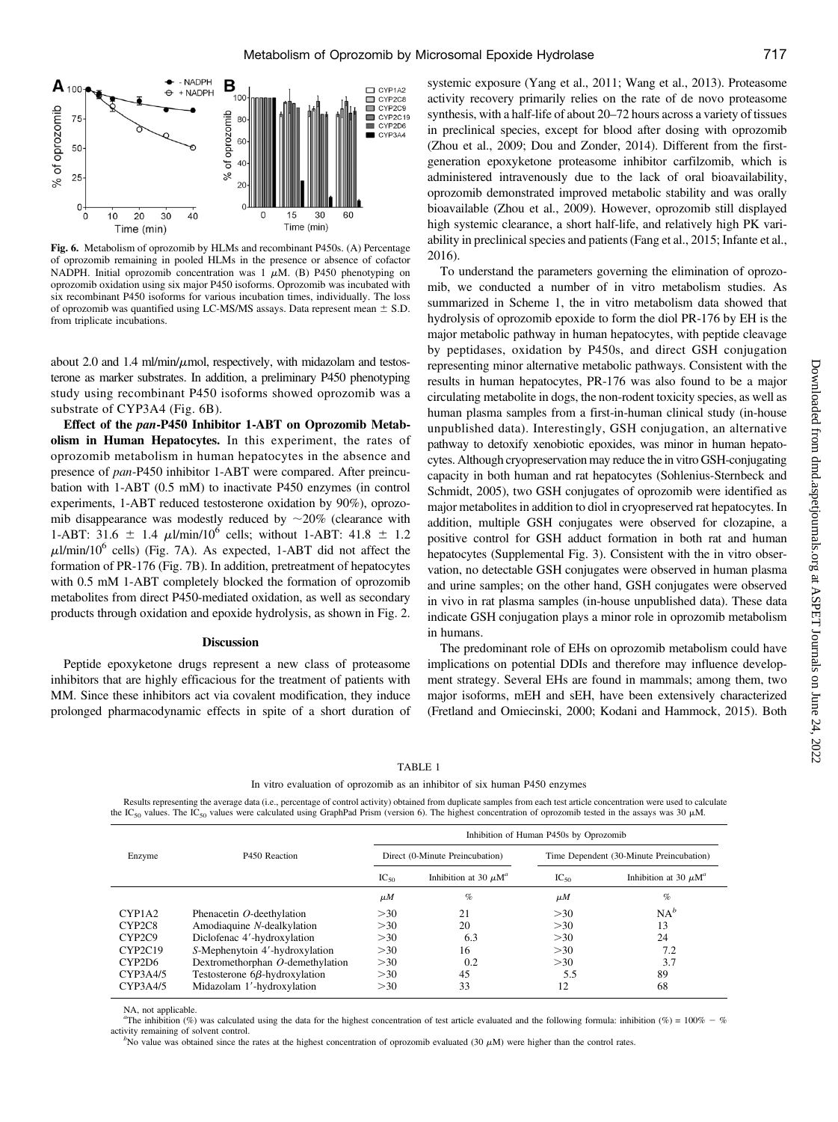

Fig. 6. Metabolism of oprozomib by HLMs and recombinant P450s. (A) Percentage of oprozomib remaining in pooled HLMs in the presence or absence of cofactor NADPH. Initial oprozomib concentration was  $1 \mu M$ . (B) P450 phenotyping on oprozomib oxidation using six major P450 isoforms. Oprozomib was incubated with six recombinant P450 isoforms for various incubation times, individually. The loss of oprozomib was quantified using LC-MS/MS assays. Data represent mean  $\pm$  S.D. from triplicate incubations.

about 2.0 and 1.4 ml/min/ $\mu$ mol, respectively, with midazolam and testosterone as marker substrates. In addition, a preliminary P450 phenotyping study using recombinant P450 isoforms showed oprozomib was a substrate of CYP3A4 (Fig. 6B).

Effect of the pan-P450 Inhibitor 1-ABT on Oprozomib Metabolism in Human Hepatocytes. In this experiment, the rates of oprozomib metabolism in human hepatocytes in the absence and presence of pan-P450 inhibitor 1-ABT were compared. After preincubation with 1-ABT (0.5 mM) to inactivate P450 enzymes (in control experiments, 1-ABT reduced testosterone oxidation by 90%), oprozomib disappearance was modestly reduced by  $\sim$ 20% (clearance with 1-ABT: 31.6  $\pm$  1.4  $\mu$ l/min/10<sup>6</sup> cells; without 1-ABT: 41.8  $\pm$  1.2  $\mu$ l/min/10<sup>6</sup> cells) (Fig. 7A). As expected, 1-ABT did not affect the formation of PR-176 (Fig. 7B). In addition, pretreatment of hepatocytes with 0.5 mM 1-ABT completely blocked the formation of oprozomib metabolites from direct P450-mediated oxidation, as well as secondary products through oxidation and epoxide hydrolysis, as shown in Fig. 2.

## **Discussion**

Peptide epoxyketone drugs represent a new class of proteasome inhibitors that are highly efficacious for the treatment of patients with MM. Since these inhibitors act via covalent modification, they induce prolonged pharmacodynamic effects in spite of a short duration of systemic exposure (Yang et al., 2011; Wang et al., 2013). Proteasome activity recovery primarily relies on the rate of de novo proteasome synthesis, with a half-life of about 20–72 hours across a variety of tissues in preclinical species, except for blood after dosing with oprozomib (Zhou et al., 2009; Dou and Zonder, 2014). Different from the firstgeneration epoxyketone proteasome inhibitor carfilzomib, which is administered intravenously due to the lack of oral bioavailability, oprozomib demonstrated improved metabolic stability and was orally bioavailable (Zhou et al., 2009). However, oprozomib still displayed high systemic clearance, a short half-life, and relatively high PK variability in preclinical species and patients (Fang et al., 2015; Infante et al., 2016).

To understand the parameters governing the elimination of oprozomib, we conducted a number of in vitro metabolism studies. As summarized in Scheme 1, the in vitro metabolism data showed that hydrolysis of oprozomib epoxide to form the diol PR-176 by EH is the major metabolic pathway in human hepatocytes, with peptide cleavage by peptidases, oxidation by P450s, and direct GSH conjugation representing minor alternative metabolic pathways. Consistent with the results in human hepatocytes, PR-176 was also found to be a major circulating metabolite in dogs, the non-rodent toxicity species, as well as human plasma samples from a first-in-human clinical study (in-house unpublished data). Interestingly, GSH conjugation, an alternative pathway to detoxify xenobiotic epoxides, was minor in human hepatocytes. Although cryopreservation may reduce the in vitro GSH-conjugating capacity in both human and rat hepatocytes (Sohlenius-Sternbeck and Schmidt, 2005), two GSH conjugates of oprozomib were identified as major metabolites in addition to diol in cryopreserved rat hepatocytes. In addition, multiple GSH conjugates were observed for clozapine, a positive control for GSH adduct formation in both rat and human hepatocytes ([Supplemental Fig. 3](http://dmd.aspetjournals.org/lookup/suppl/doi:10.1124/dmd.117.075226/-/DC1)). Consistent with the in vitro observation, no detectable GSH conjugates were observed in human plasma and urine samples; on the other hand, GSH conjugates were observed in vivo in rat plasma samples (in-house unpublished data). These data indicate GSH conjugation plays a minor role in oprozomib metabolism in humans.

The predominant role of EHs on oprozomib metabolism could have implications on potential DDIs and therefore may influence development strategy. Several EHs are found in mammals; among them, two major isoforms, mEH and sEH, have been extensively characterized (Fretland and Omiecinski, 2000; Kodani and Hammock, 2015). Both

| ВI<br>л. |  |
|----------|--|
|----------|--|

In vitro evaluation of oprozomib as an inhibitor of six human P450 enzymes

Results representing the average data (i.e., percentage of control activity) obtained from duplicate samples from each test article concentration were used to calculate the IC<sub>50</sub> values. The IC<sub>50</sub> values were calculated using GraphPad Prism (version 6). The highest concentration of oprozomib tested in the assays was 30  $\mu$ M.

|          | P450 Reaction                        | Inhibition of Human P450s by Oprozomib |                                       |                                          |                                       |
|----------|--------------------------------------|----------------------------------------|---------------------------------------|------------------------------------------|---------------------------------------|
| Enzyme   |                                      | Direct (0-Minute Preincubation)        |                                       | Time Dependent (30-Minute Preincubation) |                                       |
|          |                                      | $IC_{50}$                              | Inhibition at 30 $\mu$ M <sup>a</sup> | $IC_{50}$                                | Inhibition at 30 $\mu$ M <sup>a</sup> |
|          |                                      | $\mu$ <i>M</i>                         | $\%$                                  | $\mu$ <i>M</i>                           | $\%$                                  |
| CYP1A2   | Phenacetin O-deethylation            | >30                                    | 21                                    | >30                                      | $NA^b$                                |
| CYP2C8   | Amodiaquine N-dealkylation           | >30                                    | 20                                    | >30                                      | 13                                    |
| CYP2C9   | Diclofenac 4'-hydroxylation          | >30                                    | 6.3                                   | >30                                      | 24                                    |
| CYP2C19  | S-Mephenytoin 4'-hydroxylation       | >30                                    | 16                                    | >30                                      | 7.2                                   |
| CYP2D6   | Dextromethorphan O-demethylation     | >30                                    | 0.2                                   | >30                                      | 3.7                                   |
| CYP3A4/5 | Testosterone $6\beta$ -hydroxylation | >30                                    | 45                                    | 5.5                                      | 89                                    |
| CYP3A4/5 | Midazolam 1'-hydroxylation           | >30                                    | 33                                    | 12                                       | 68                                    |

NA, not applicable.

"The inhibition (%) was calculated using the data for the highest concentration of test article evaluated and the following formula: inhibition (%) = 100% - % activity remaining of solvent control. <sup>b</sup>

<sup>b</sup>No value was obtained since the rates at the highest concentration of oprozomib evaluated (30  $\mu$ M) were higher than the control rates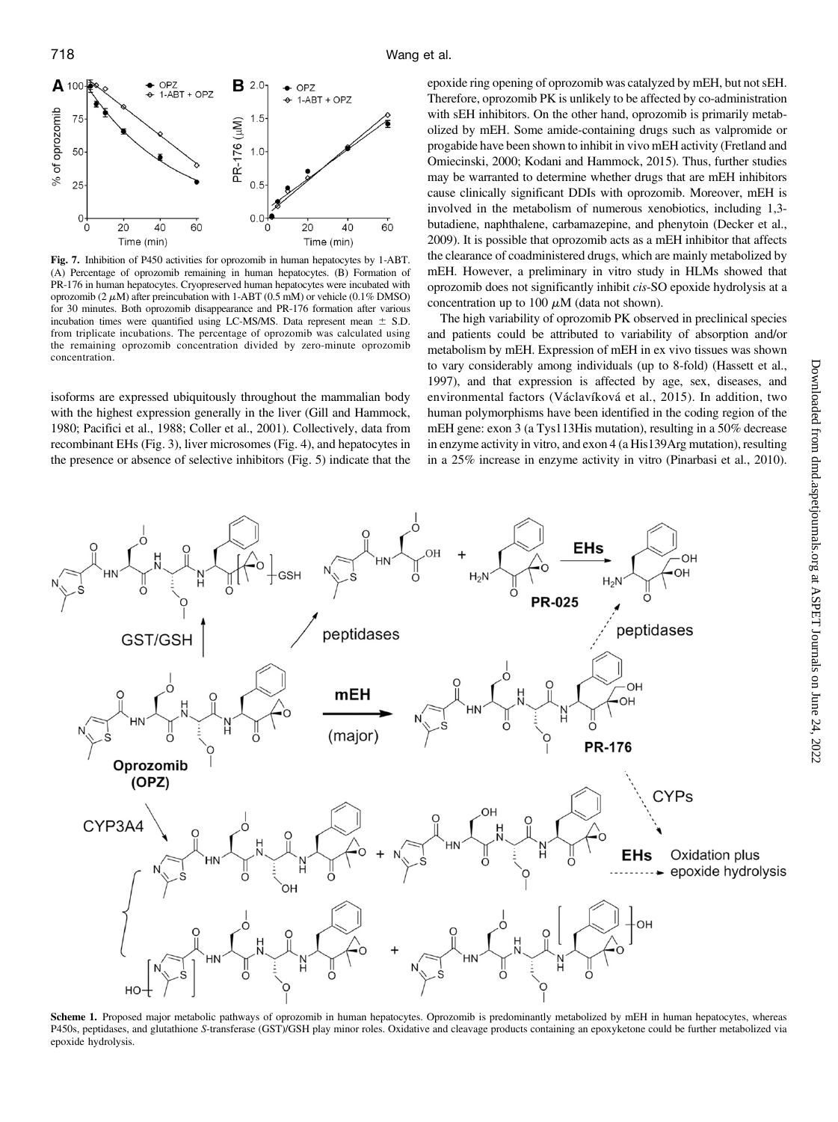

Fig. 7. Inhibition of P450 activities for oprozomib in human hepatocytes by 1-ABT. (A) Percentage of oprozomib remaining in human hepatocytes. (B) Formation of PR-176 in human hepatocytes. Cryopreserved human hepatocytes were incubated with oprozomib (2  $\mu$ M) after preincubation with 1-ABT (0.5 mM) or vehicle (0.1% DMSO) for 30 minutes. Both oprozomib disappearance and PR-176 formation after various incubation times were quantified using LC-MS/MS. Data represent mean  $\pm$  S.D. from triplicate incubations. The percentage of oprozomib was calculated using the remaining oprozomib concentration divided by zero-minute oprozomib concentration.

isoforms are expressed ubiquitously throughout the mammalian body with the highest expression generally in the liver (Gill and Hammock, 1980; Pacifici et al., 1988; Coller et al., 2001). Collectively, data from recombinant EHs (Fig. 3), liver microsomes (Fig. 4), and hepatocytes in the presence or absence of selective inhibitors (Fig. 5) indicate that the epoxide ring opening of oprozomib was catalyzed by mEH, but not sEH. Therefore, oprozomib PK is unlikely to be affected by co-administration with sEH inhibitors. On the other hand, oprozomib is primarily metabolized by mEH. Some amide-containing drugs such as valpromide or progabide have been shown to inhibit in vivo mEH activity (Fretland and Omiecinski, 2000; Kodani and Hammock, 2015). Thus, further studies may be warranted to determine whether drugs that are mEH inhibitors cause clinically significant DDIs with oprozomib. Moreover, mEH is involved in the metabolism of numerous xenobiotics, including 1,3 butadiene, naphthalene, carbamazepine, and phenytoin (Decker et al., 2009). It is possible that oprozomib acts as a mEH inhibitor that affects the clearance of coadministered drugs, which are mainly metabolized by mEH. However, a preliminary in vitro study in HLMs showed that oprozomib does not significantly inhibit cis-SO epoxide hydrolysis at a concentration up to 100  $\mu$ M (data not shown).

The high variability of oprozomib PK observed in preclinical species and patients could be attributed to variability of absorption and/or metabolism by mEH. Expression of mEH in ex vivo tissues was shown to vary considerably among individuals (up to 8-fold) (Hassett et al., 1997), and that expression is affected by age, sex, diseases, and environmental factors (Václavíková et al., 2015). In addition, two human polymorphisms have been identified in the coding region of the mEH gene: exon 3 (a Tys113His mutation), resulting in a 50% decrease in enzyme activity in vitro, and exon 4 (a His139Arg mutation), resulting in a 25% increase in enzyme activity in vitro (Pinarbasi et al., 2010).



Scheme 1. Proposed major metabolic pathways of oprozomib in human hepatocytes. Oprozomib is predominantly metabolized by mEH in human hepatocytes, whereas P450s, peptidases, and glutathione S-transferase (GST)/GSH play minor roles. Oxidative and cleavage products containing an epoxyketone could be further metabolized via epoxide hydrolysis.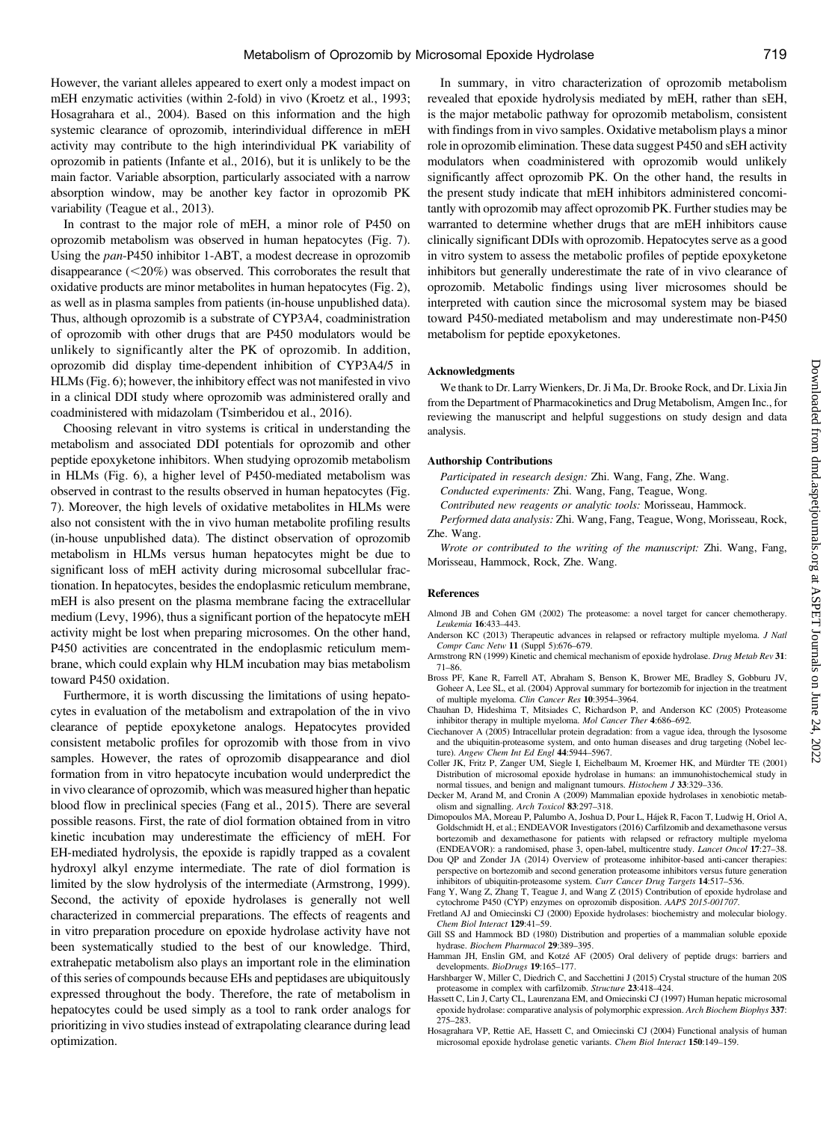However, the variant alleles appeared to exert only a modest impact on mEH enzymatic activities (within 2-fold) in vivo (Kroetz et al., 1993; Hosagrahara et al., 2004). Based on this information and the high systemic clearance of oprozomib, interindividual difference in mEH activity may contribute to the high interindividual PK variability of oprozomib in patients (Infante et al., 2016), but it is unlikely to be the main factor. Variable absorption, particularly associated with a narrow absorption window, may be another key factor in oprozomib PK variability (Teague et al., 2013).

In contrast to the major role of mEH, a minor role of P450 on oprozomib metabolism was observed in human hepatocytes (Fig. 7). Using the pan-P450 inhibitor 1-ABT, a modest decrease in oprozomib disappearance  $(<20\%)$  was observed. This corroborates the result that oxidative products are minor metabolites in human hepatocytes (Fig. 2), as well as in plasma samples from patients (in-house unpublished data). Thus, although oprozomib is a substrate of CYP3A4, coadministration of oprozomib with other drugs that are P450 modulators would be unlikely to significantly alter the PK of oprozomib. In addition, oprozomib did display time-dependent inhibition of CYP3A4/5 in HLMs (Fig. 6); however, the inhibitory effect was not manifested in vivo in a clinical DDI study where oprozomib was administered orally and coadministered with midazolam (Tsimberidou et al., 2016).

Choosing relevant in vitro systems is critical in understanding the metabolism and associated DDI potentials for oprozomib and other peptide epoxyketone inhibitors. When studying oprozomib metabolism in HLMs (Fig. 6), a higher level of P450-mediated metabolism was observed in contrast to the results observed in human hepatocytes (Fig. 7). Moreover, the high levels of oxidative metabolites in HLMs were also not consistent with the in vivo human metabolite profiling results (in-house unpublished data). The distinct observation of oprozomib metabolism in HLMs versus human hepatocytes might be due to significant loss of mEH activity during microsomal subcellular fractionation. In hepatocytes, besides the endoplasmic reticulum membrane, mEH is also present on the plasma membrane facing the extracellular medium (Levy, 1996), thus a significant portion of the hepatocyte mEH activity might be lost when preparing microsomes. On the other hand, P450 activities are concentrated in the endoplasmic reticulum membrane, which could explain why HLM incubation may bias metabolism toward P450 oxidation.

Furthermore, it is worth discussing the limitations of using hepatocytes in evaluation of the metabolism and extrapolation of the in vivo clearance of peptide epoxyketone analogs. Hepatocytes provided consistent metabolic profiles for oprozomib with those from in vivo samples. However, the rates of oprozomib disappearance and diol formation from in vitro hepatocyte incubation would underpredict the in vivo clearance of oprozomib, which was measured higher than hepatic blood flow in preclinical species (Fang et al., 2015). There are several possible reasons. First, the rate of diol formation obtained from in vitro kinetic incubation may underestimate the efficiency of mEH. For EH-mediated hydrolysis, the epoxide is rapidly trapped as a covalent hydroxyl alkyl enzyme intermediate. The rate of diol formation is limited by the slow hydrolysis of the intermediate (Armstrong, 1999). Second, the activity of epoxide hydrolases is generally not well characterized in commercial preparations. The effects of reagents and in vitro preparation procedure on epoxide hydrolase activity have not been systematically studied to the best of our knowledge. Third, extrahepatic metabolism also plays an important role in the elimination of this series of compounds because EHs and peptidases are ubiquitously expressed throughout the body. Therefore, the rate of metabolism in hepatocytes could be used simply as a tool to rank order analogs for prioritizing in vivo studies instead of extrapolating clearance during lead optimization.

In summary, in vitro characterization of oprozomib metabolism revealed that epoxide hydrolysis mediated by mEH, rather than sEH, is the major metabolic pathway for oprozomib metabolism, consistent with findings from in vivo samples. Oxidative metabolism plays a minor role in oprozomib elimination. These data suggest P450 and sEH activity modulators when coadministered with oprozomib would unlikely significantly affect oprozomib PK. On the other hand, the results in the present study indicate that mEH inhibitors administered concomitantly with oprozomib may affect oprozomib PK. Further studies may be warranted to determine whether drugs that are mEH inhibitors cause clinically significant DDIs with oprozomib. Hepatocytes serve as a good in vitro system to assess the metabolic profiles of peptide epoxyketone inhibitors but generally underestimate the rate of in vivo clearance of oprozomib. Metabolic findings using liver microsomes should be interpreted with caution since the microsomal system may be biased toward P450-mediated metabolism and may underestimate non-P450 metabolism for peptide epoxyketones.

## Acknowledgments

We thank to Dr. Larry Wienkers, Dr. Ji Ma, Dr. Brooke Rock, and Dr. Lixia Jin from the Department of Pharmacokinetics and Drug Metabolism, Amgen Inc., for reviewing the manuscript and helpful suggestions on study design and data analysis.

## Authorship Contributions

Participated in research design: Zhi. Wang, Fang, Zhe. Wang.

Conducted experiments: Zhi. Wang, Fang, Teague, Wong.

Contributed new reagents or analytic tools: Morisseau, Hammock.

Performed data analysis: Zhi. Wang, Fang, Teague, Wong, Morisseau, Rock, Zhe. Wang.

Wrote or contributed to the writing of the manuscript: Zhi. Wang, Fang, Morisseau, Hammock, Rock, Zhe. Wang.

#### References

- Almond JB and Cohen GM (2002) The proteasome: a novel target for cancer chemotherapy. Leukemia 16:433–443.
- Anderson KC (2013) Therapeutic advances in relapsed or refractory multiple myeloma. J Natl Compr Canc Netw 11 (Suppl 5):676–679.
- Armstrong RN (1999) Kinetic and chemical mechanism of epoxide hydrolase. Drug Metab Rev 31: 71–86.
- Bross PF, Kane R, Farrell AT, Abraham S, Benson K, Brower ME, Bradley S, Gobburu JV, Goheer A, Lee SL, et al. (2004) Approval summary for bortezomib for injection in the treatment of multiple myeloma. Clin Cancer Res 10:3954–3964.
- Chauhan D, Hideshima T, Mitsiades C, Richardson P, and Anderson KC (2005) Proteasome inhibitor therapy in multiple myeloma. Mol Cancer Ther 4:686–692.
- Ciechanover A (2005) Intracellular protein degradation: from a vague idea, through the lysosome and the ubiquitin-proteasome system, and onto human diseases and drug targeting (Nobel lecture). Angew Chem Int Ed Engl 44:5944-5967.
- Coller JK, Fritz P, Zanger UM, Siegle I, Eichelbaum M, Kroemer HK, and Mürdter TE (2001) Distribution of microsomal epoxide hydrolase in humans: an immunohistochemical study in normal tissues, and benign and malignant tumours. Histochem J 33:329–336.
- Decker M, Arand M, and Cronin A (2009) Mammalian epoxide hydrolases in xenobiotic metabolism and signalling. Arch Toxicol 83:297–318.
- Dimopoulos MA, Moreau P, Palumbo A, Joshua D, Pour L, Hájek R, Facon T, Ludwig H, Oriol A, Goldschmidt H, et al.; ENDEAVOR Investigators (2016) Carfilzomib and dexamethasone versus bortezomib and dexamethasone for patients with relapsed or refractory multiple myeloma (ENDEAVOR): a randomised, phase 3, open-label, multicentre study. Lancet Oncol 17:27–38.
- Dou QP and Zonder JA (2014) Overview of proteasome inhibitor-based anti-cancer therapies: perspective on bortezomib and second generation proteasome inhibitors versus future generation inhibitors of ubiquitin-proteasome system. Curr Cancer Drug Targets 14:517–536.
- Fang Y, Wang Z, Zhang T, Teague J, and Wang Z (2015) Contribution of epoxide hydrolase and cytochrome P450 (CYP) enzymes on oprozomib disposition. AAPS 2015-001707.
- Fretland AJ and Omiecinski CJ (2000) Epoxide hydrolases: biochemistry and molecular biology. Chem Biol Interact 129:41–59.
- Gill SS and Hammock BD (1980) Distribution and properties of a mammalian soluble epoxide hydrase. Biochem Pharmacol 29:389–395.
- Hamman JH, Enslin GM, and Kotzé AF (2005) Oral delivery of peptide drugs: barriers and developments. BioDrugs 19:165–177.
- Harshbarger W, Miller C, Diedrich C, and Sacchettini J (2015) Crystal structure of the human 20S proteasome in complex with carfilzomib. Structure 23:418–424.
- Hassett C, Lin J, Carty CL, Laurenzana EM, and Omiecinski CJ (1997) Human hepatic microsomal epoxide hydrolase: comparative analysis of polymorphic expression. Arch Biochem Biophys 337: 275–283.
- Hosagrahara VP, Rettie AE, Hassett C, and Omiecinski CJ (2004) Functional analysis of human microsomal epoxide hydrolase genetic variants. Chem Biol Interact 150:149–159.